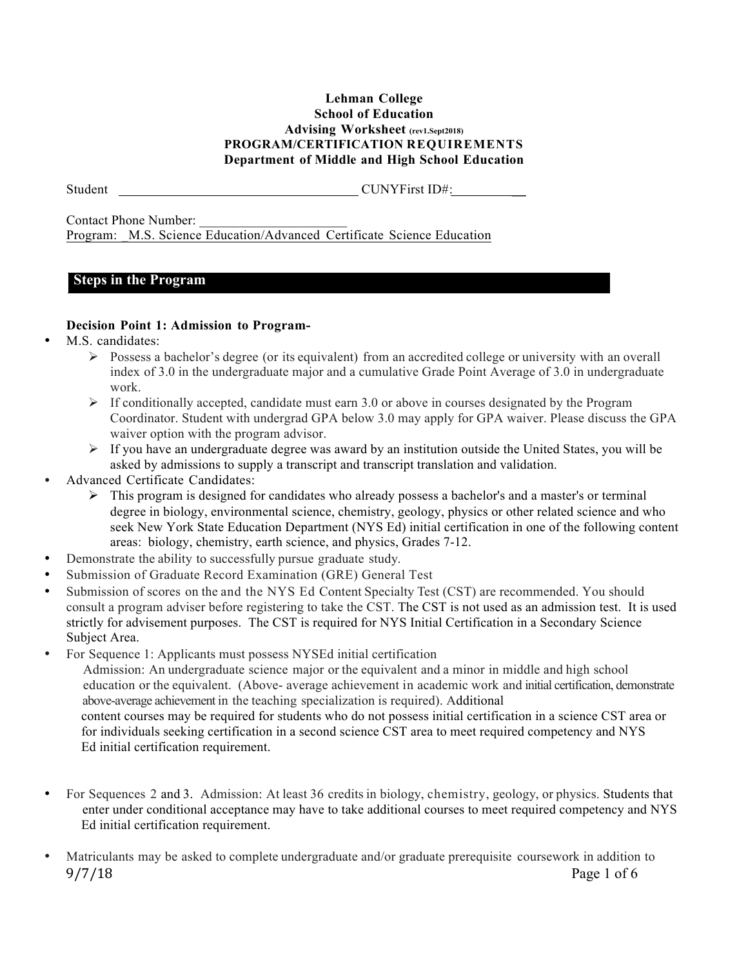#### **Lehman College School of Education Advising Worksheet (rev1.Sept2018) PROGRAM/CERTIFICATION REQUIREMENTS Department of Middle and High School Education**

Student CUNYFirst ID#:

Contact Phone Number: Program: M.S. Science Education/Advanced Certificate Science Education

## **Steps in the Program**

## **Decision Point 1: Admission to Program-**

- M.S. candidates:
	- $\triangleright$  Possess a bachelor's degree (or its equivalent) from an accredited college or university with an overall index of 3.0 in the undergraduate major and a cumulative Grade Point Average of 3.0 in undergraduate work.
	- $\triangleright$  If conditionally accepted, candidate must earn 3.0 or above in courses designated by the Program Coordinator. Student with undergrad GPA below 3.0 may apply for GPA waiver. Please discuss the GPA waiver option with the program advisor.
	- $\triangleright$  If you have an undergraduate degree was award by an institution outside the United States, you will be asked by admissions to supply a transcript and transcript translation and validation.
- Advanced Certificate Candidates:
	- $\triangleright$  This program is designed for candidates who already possess a bachelor's and a master's or terminal degree in biology, environmental science, chemistry, geology, physics or other related science and who seek New York State Education Department (NYS Ed) initial certification in one of the following content areas: biology, chemistry, earth science, and physics, Grades 7-12.
- Demonstrate the ability to successfully pursue graduate study.
- Submission of Graduate Record Examination (GRE) General Test
- Submission of scores on the and the NYS Ed Content Specialty Test (CST) are recommended. You should consult a program adviser before registering to take the CST. The CST is not used as an admission test. It is used strictly for advisement purposes. The CST is required for NYS Initial Certification in a Secondary Science Subject Area.
- For Sequence 1: Applicants must possess NYSEd initial certification

 Admission: An undergraduate science major or the equivalent and a minor in middle and high school education or the equivalent. (Above- average achievement in academic work and initial certification, demonstrate above-average achievement in the teaching specialization is required). Additional content courses may be required for students who do not possess initial certification in a science CST area or for individuals seeking certification in a second science CST area to meet required competency and NYS Ed initial certification requirement.

- For Sequences 2 and 3. Admission: At least 36 credits in biology, chemistry, geology, or physics. Students that enter under conditional acceptance may have to take additional courses to meet required competency and NYS Ed initial certification requirement.
- 9/7/18 Page 1 of 6 • Matriculants may be asked to complete undergraduate and/or graduate prerequisite coursework in addition to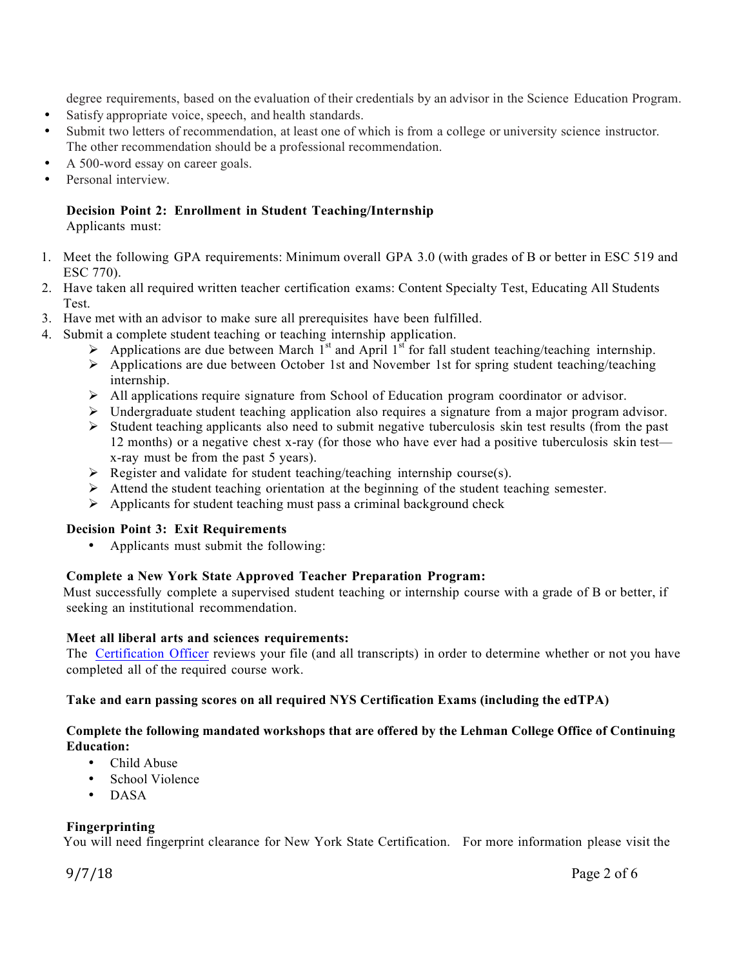degree requirements, based on the evaluation of their credentials by an advisor in the Science Education Program.

- Satisfy appropriate voice, speech, and health standards.
- Submit two letters of recommendation, at least one of which is from a college or university science instructor. The other recommendation should be a professional recommendation.
- A 500-word essay on career goals.
- Personal interview.

## **Decision Point 2: Enrollment in Student Teaching/Internship**

Applicants must:

- 1. Meet the following GPA requirements: Minimum overall GPA 3.0 (with grades of B or better in ESC 519 and ESC 770).
- 2. Have taken all required written teacher certification exams: Content Specialty Test, Educating All Students **Test**
- 3. Have met with an advisor to make sure all prerequisites have been fulfilled.
- 4. Submit a complete student teaching or teaching internship application.
	- $\triangleright$  Applications are due between March 1<sup>st</sup> and April 1<sup>st</sup> for fall student teaching/teaching internship.
	- $\triangleright$  Applications are due between October 1st and November 1st for spring student teaching/teaching internship.
	- Ø All applications require signature from School of Education program coordinator or advisor.
	- $\triangleright$  Undergraduate student teaching application also requires a signature from a major program advisor.
	- $\triangleright$  Student teaching applicants also need to submit negative tuberculosis skin test results (from the past 12 months) or a negative chest x-ray (for those who have ever had a positive tuberculosis skin test x-ray must be from the past 5 years).
	- $\triangleright$  Register and validate for student teaching/teaching internship course(s).
	- Ø Attend the student teaching orientation at the beginning of the student teaching semester.
	- $\triangleright$  Applicants for student teaching must pass a criminal background check

#### **Decision Point 3: Exit Requirements**

• Applicants must submit the following:

## **Complete a New York State Approved Teacher Preparation Program:**

Must successfully complete a supervised student teaching or internship course with a grade of B or better, if seeking an institutional recommendation.

#### **Meet all liberal arts and sciences requirements:**

The Certification Officer reviews your file (and all transcripts) in order to determine whether or not you have completed all of the required course work.

## **Take and earn passing scores on all required NYS Certification Exams (including the edTPA)**

#### **Complete the following mandated workshops that are offered by the Lehman College Office of Continuing Education:**

- Child Abuse
- School Violence
- DASA

## **Fingerprinting**

You will need fingerprint clearance for New York State Certification. For more information please visit the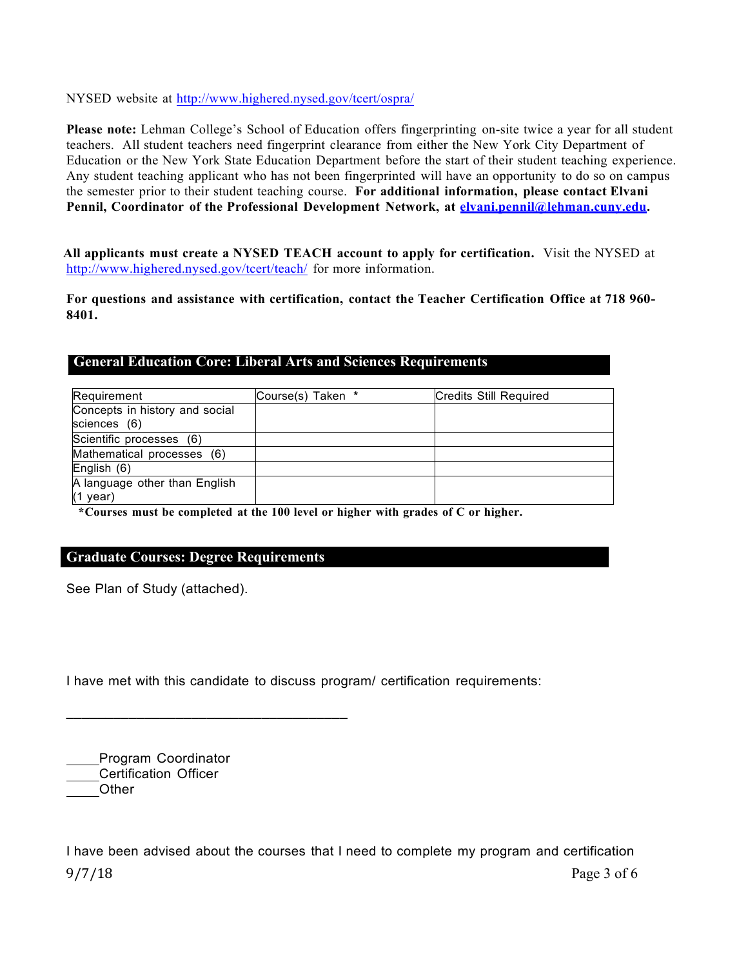NYSED website at http://www.highered.nysed.gov/tcert/ospra/

**Please note:** Lehman College's School of Education offers fingerprinting on-site twice a year for all student teachers. All student teachers need fingerprint clearance from either the New York City Department of Education or the New York State Education Department before the start of their student teaching experience. Any student teaching applicant who has not been fingerprinted will have an opportunity to do so on campus the semester prior to their student teaching course. **For additional information, please contact Elvani Pennil, Coordinator of the Professional Development Network, at elvani.pennil@lehman.cuny.edu.**

**All applicants must create a NYSED TEACH account to apply for certification.** Visit the NYSED at http://www.highered.nysed.gov/tcert/teach/ for more information.

**For questions and assistance with certification, contact the Teacher Certification Office at 718 960- 8401.**

| <b>General Education Core: Liberal Arts and Sciences Requirements</b> |
|-----------------------------------------------------------------------|
|-----------------------------------------------------------------------|

| Requirement                                    | Course(s) Taken * | <b>Credits Still Required</b> |
|------------------------------------------------|-------------------|-------------------------------|
| Concepts in history and social<br>sciences (6) |                   |                               |
| Scientific processes (6)                       |                   |                               |
| Mathematical processes (6)                     |                   |                               |
| English (6)                                    |                   |                               |
| A language other than English<br>$(1$ year)    |                   |                               |

 **\*Courses must be completed at the 100 level or higher with grades of C or higher.**

## **Graduate Courses: Degree Requirements**

\_\_\_\_\_\_\_\_\_\_\_\_\_\_\_\_\_\_\_\_\_\_\_\_\_\_\_\_\_\_\_\_\_\_\_\_

See Plan of Study (attached).

I have met with this candidate to discuss program/ certification requirements:

| Program Coordinator          |
|------------------------------|
| <b>Certification Officer</b> |
| Other                        |
|                              |

9/7/18 Page 3 of 6 I have been advised about the courses that I need to complete my program and certification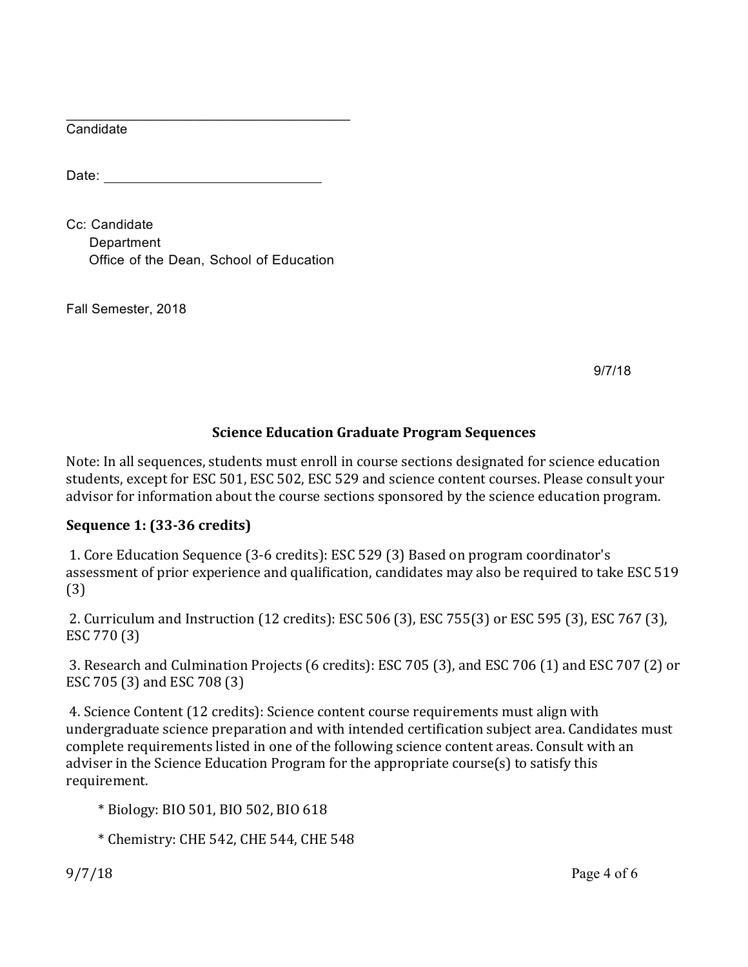$\mathcal{L}_\mathcal{L}$  , where  $\mathcal{L}_\mathcal{L}$  , we have the set of the set of the set of the set of the set of the set of the set of the set of the set of the set of the set of the set of the set of the set of the set of the set **Candidate** 

Date: **Date:** 

Cc: Candidate Department Office of the Dean, School of Education

Fall Semester, 2018

9/7/18

# **Science Education Graduate Program Sequences**

Note: In all sequences, students must enroll in course sections designated for science education students, except for ESC 501, ESC 502, ESC 529 and science content courses. Please consult your advisor for information about the course sections sponsored by the science education program.

# **Sequence 1: (33-36 credits)**

1. Core Education Sequence (3-6 credits): ESC 529 (3) Based on program coordinator's assessment of prior experience and qualification, candidates may also be required to take ESC 519 (3)

2. Curriculum and Instruction (12 credits): ESC 506 (3), ESC 755(3) or ESC 595 (3), ESC 767 (3), ESC 770 (3)

3. Research and Culmination Projects (6 credits): ESC 705 (3), and ESC 706 (1) and ESC 707 (2) or ESC 705 (3) and ESC 708 (3)

4. Science Content (12 credits): Science content course requirements must align with undergraduate science preparation and with intended certification subject area. Candidates must complete requirements listed in one of the following science content areas. Consult with an adviser in the Science Education Program for the appropriate course(s) to satisfy this requirement.

 \* Biology: BIO 501, BIO 502, BIO 618

 \* Chemistry: CHE 542, CHE 544, CHE 548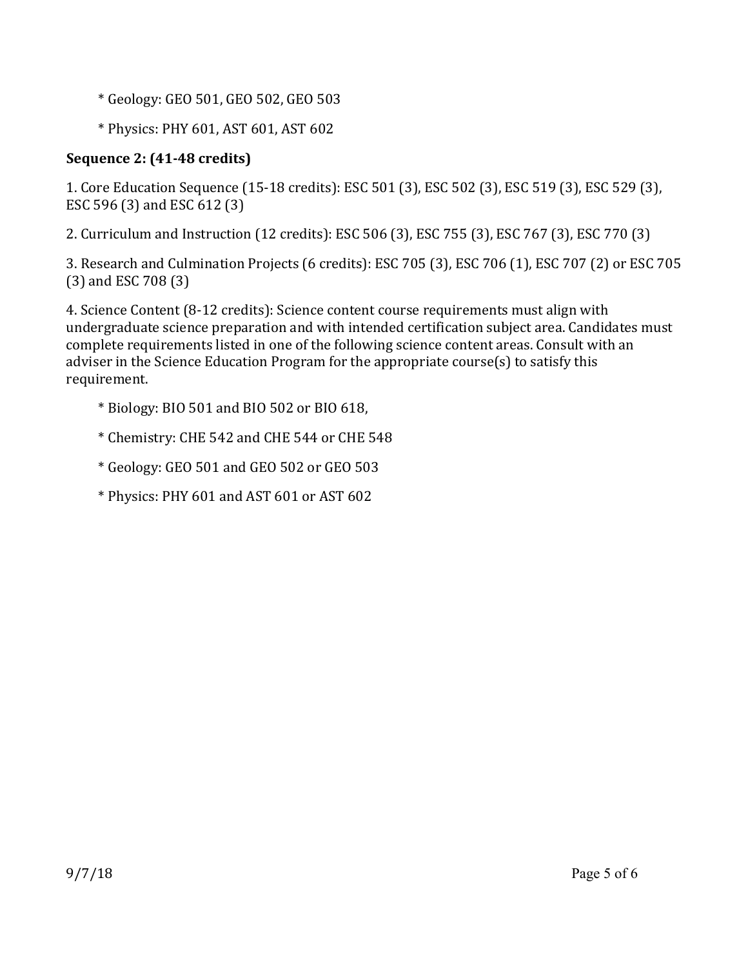- \* Geology: GEO 501, GEO 502, GEO 503
- \* Physics: PHY 601, AST 601, AST 602

# **Sequence 2: (41-48 credits)**

1. Core Education Sequence (15-18 credits): ESC 501 (3), ESC 502 (3), ESC 519 (3), ESC 529 (3), ESC 596 (3) and ESC 612 (3)

2. Curriculum and Instruction (12 credits): ESC 506 (3), ESC 755 (3), ESC 767 (3), ESC 770 (3)

3. Research and Culmination Projects (6 credits): ESC 705 (3), ESC 706 (1), ESC 707 (2) or ESC 705  $(3)$  and ESC 708 $(3)$ 

4. Science Content (8-12 credits): Science content course requirements must align with undergraduate science preparation and with intended certification subject area. Candidates must complete requirements listed in one of the following science content areas. Consult with an adviser in the Science Education Program for the appropriate course(s) to satisfy this requirement.

- $*$  Biology: BIO 501 and BIO 502 or BIO 618,
- \* Chemistry: CHE 542 and CHE 544 or CHE 548
- $*$  Geology: GEO 501 and GEO 502 or GEO 503
- \* Physics: PHY 601 and AST 601 or AST 602